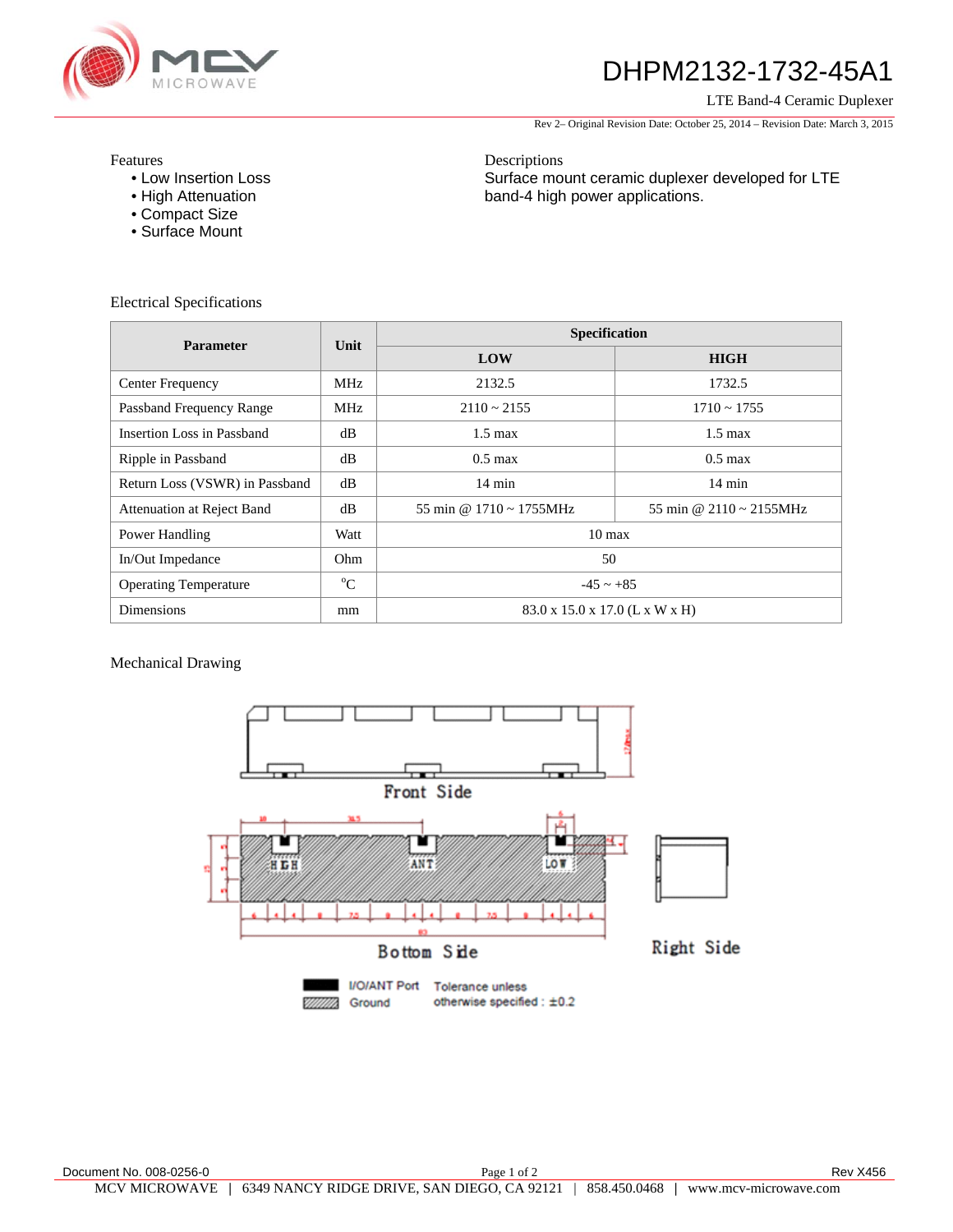

## DHPM2132-1732-45A1

LTE Band-4 Ceramic Duplexer

Rev 2– Original Revision Date: October 25, 2014 – Revision Date: March 3, 2015

Surface mount ceramic duplexer developed for LTE

band-4 high power applications.

Features

- Low Insertion Loss
- High Attenuation
- Compact Size
- Surface Mount

Electrical Specifications

| <b>Parameter</b>               | Unit        | Specification                           |                                         |
|--------------------------------|-------------|-----------------------------------------|-----------------------------------------|
|                                |             | LOW                                     | <b>HIGH</b>                             |
| Center Frequency               | MHz         | 2132.5                                  | 1732.5                                  |
| Passband Frequency Range       | <b>MHz</b>  | $2110 \approx 2155$                     | $1710 \sim 1755$                        |
| Insertion Loss in Passband     | dB          | $1.5 \text{ max}$                       | $1.5 \text{ max}$                       |
| Ripple in Passband             | dB          | $0.5 \text{ max}$                       | $0.5 \text{ max}$                       |
| Return Loss (VSWR) in Passband | dB          | $14 \text{ min}$                        | $14 \text{ min}$                        |
| Attenuation at Reject Band     | dB          | 55 min @ $1710 \approx 1755 \text{MHz}$ | 55 min @ $2110 \approx 2155 \text{MHz}$ |
| Power Handling                 | Watt        | $10 \text{ max}$                        |                                         |
| In/Out Impedance               | Ohm         | 50                                      |                                         |
| <b>Operating Temperature</b>   | $\rm ^{o}C$ | $-45 \sim +85$                          |                                         |
| Dimensions                     | mm          | 83.0 x 15.0 x 17.0 (L x W x H)          |                                         |

Descriptions

## Mechanical Drawing